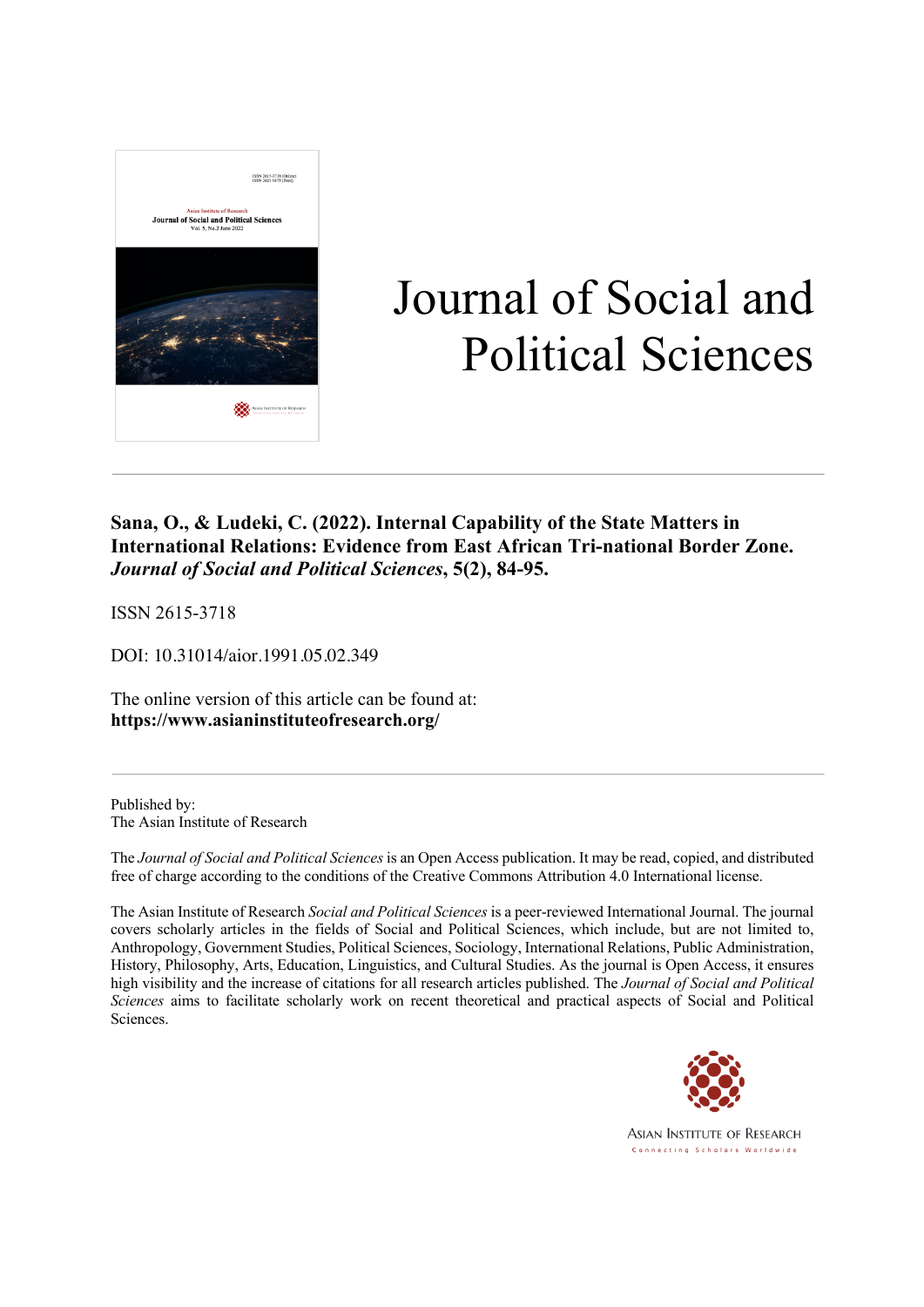

# Journal of Social and Political Sciences

#### **Sana, O., & Ludeki, C. (2022). Internal Capability of the State Matters in International Relations: Evidence from East African Tri-national Border Zone.** *Journal of Social and Political Sciences***, 5(2), 84-95.**

ISSN 2615-3718

DOI: 10.31014/aior.1991.05.02.349

The online version of this article can be found at: **https://www.asianinstituteofresearch.org/**

Published by: The Asian Institute of Research

The *Journal of Social and Political Sciences* is an Open Access publication. It may be read, copied, and distributed free of charge according to the conditions of the Creative Commons Attribution 4.0 International license.

The Asian Institute of Research *Social and Political Sciences* is a peer-reviewed International Journal. The journal covers scholarly articles in the fields of Social and Political Sciences, which include, but are not limited to, Anthropology, Government Studies, Political Sciences, Sociology, International Relations, Public Administration, History, Philosophy, Arts, Education, Linguistics, and Cultural Studies. As the journal is Open Access, it ensures high visibility and the increase of citations for all research articles published. The *Journal of Social and Political Sciences* aims to facilitate scholarly work on recent theoretical and practical aspects of Social and Political Sciences.



**ASIAN INSTITUTE OF RESEARCH** Connecting Scholars Worldwide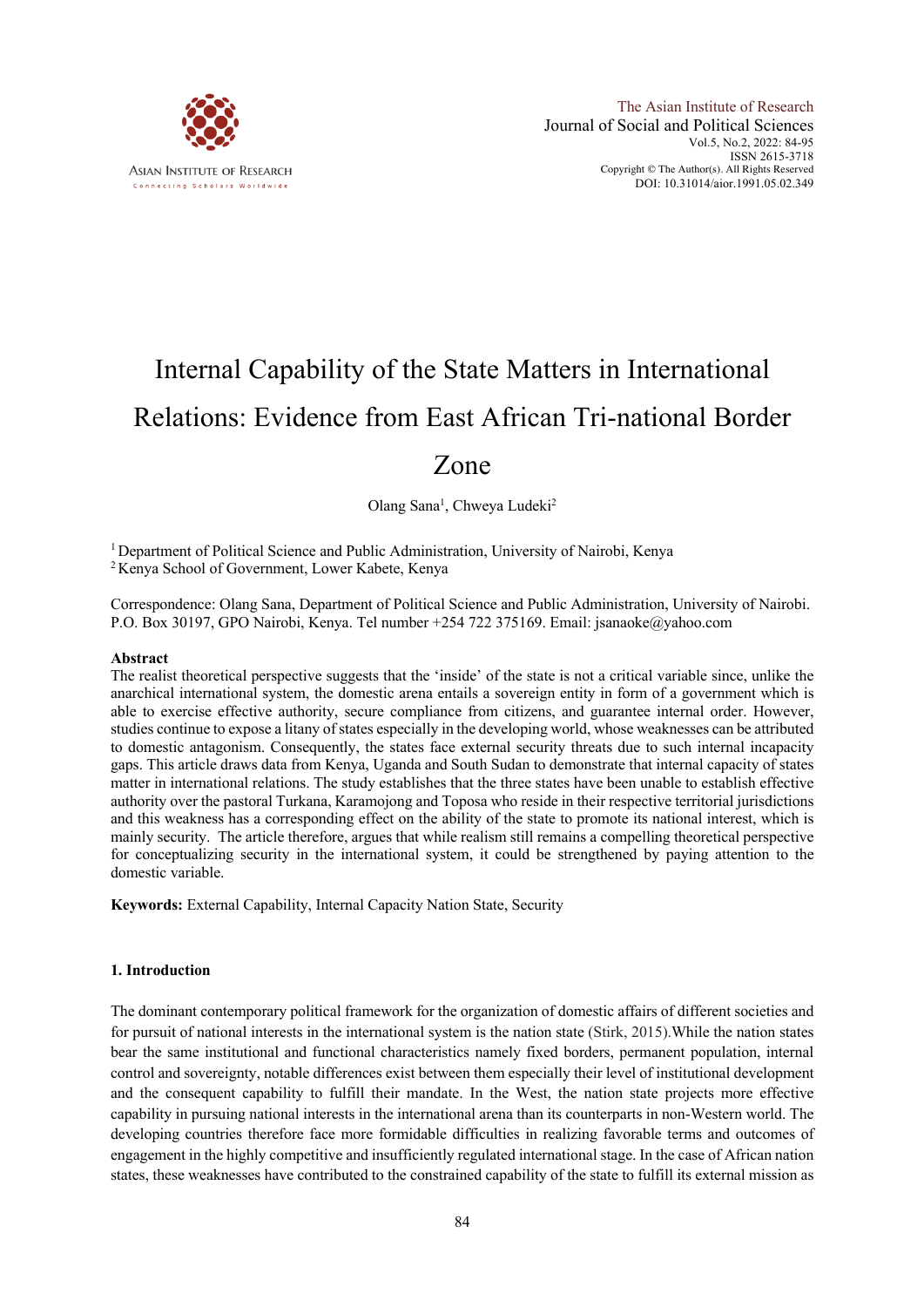

## Internal Capability of the State Matters in International Relations: Evidence from East African Tri-national Border

### Zone

Olang Sana<sup>1</sup>, Chweya Ludeki<sup>2</sup>

<sup>1</sup> Department of Political Science and Public Administration, University of Nairobi, Kenya <sup>2</sup> Kenya School of Government, Lower Kabete, Kenya

Correspondence: Olang Sana, Department of Political Science and Public Administration, University of Nairobi. P.O. Box 30197, GPO Nairobi, Kenya. Tel number +254 722 375169. Email: jsanaoke@yahoo.com

#### **Abstract**

The realist theoretical perspective suggests that the 'inside' of the state is not a critical variable since, unlike the anarchical international system, the domestic arena entails a sovereign entity in form of a government which is able to exercise effective authority, secure compliance from citizens, and guarantee internal order. However, studies continue to expose a litany of states especially in the developing world, whose weaknesses can be attributed to domestic antagonism. Consequently, the states face external security threats due to such internal incapacity gaps. This article draws data from Kenya, Uganda and South Sudan to demonstrate that internal capacity of states matter in international relations. The study establishes that the three states have been unable to establish effective authority over the pastoral Turkana, Karamojong and Toposa who reside in their respective territorial jurisdictions and this weakness has a corresponding effect on the ability of the state to promote its national interest, which is mainly security. The article therefore, argues that while realism still remains a compelling theoretical perspective for conceptualizing security in the international system, it could be strengthened by paying attention to the domestic variable.

**Keywords:** External Capability, Internal Capacity Nation State, Security

#### **1. Introduction**

The dominant contemporary political framework for the organization of domestic affairs of different societies and for pursuit of national interests in the international system is the nation state (Stirk, 2015).While the nation states bear the same institutional and functional characteristics namely fixed borders, permanent population, internal control and sovereignty, notable differences exist between them especially their level of institutional development and the consequent capability to fulfill their mandate. In the West, the nation state projects more effective capability in pursuing national interests in the international arena than its counterparts in non-Western world. The developing countries therefore face more formidable difficulties in realizing favorable terms and outcomes of engagement in the highly competitive and insufficiently regulated international stage. In the case of African nation states, these weaknesses have contributed to the constrained capability of the state to fulfill its external mission as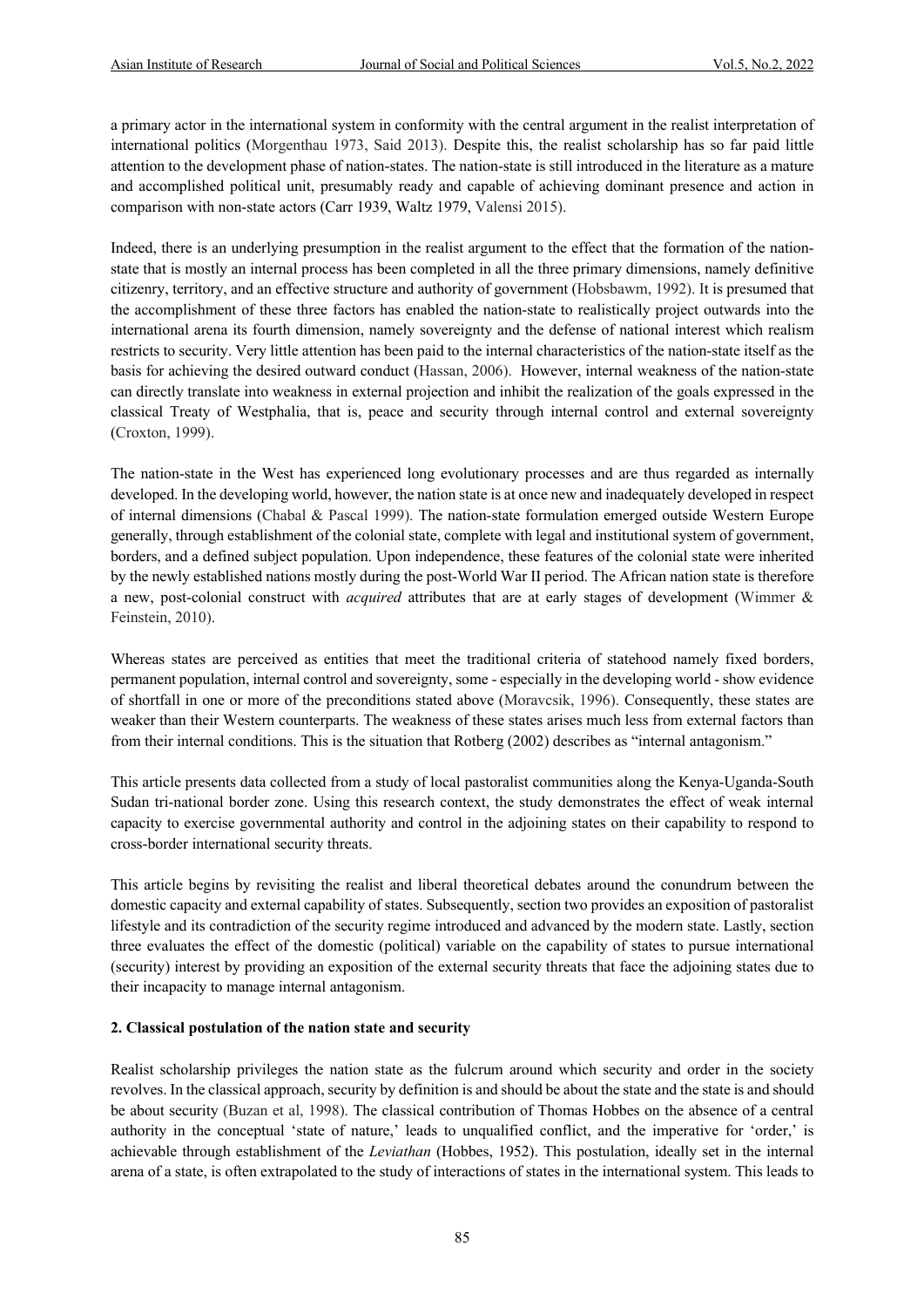a primary actor in the international system in conformity with the central argument in the realist interpretation of international politics (Morgenthau 1973, Said 2013). Despite this, the realist scholarship has so far paid little attention to the development phase of nation-states. The nation-state is still introduced in the literature as a mature and accomplished political unit, presumably ready and capable of achieving dominant presence and action in comparison with non-state actors (Carr 1939, Waltz 1979, Valensi 2015).

Indeed, there is an underlying presumption in the realist argument to the effect that the formation of the nationstate that is mostly an internal process has been completed in all the three primary dimensions, namely definitive citizenry, territory, and an effective structure and authority of government (Hobsbawm, 1992). It is presumed that the accomplishment of these three factors has enabled the nation-state to realistically project outwards into the international arena its fourth dimension, namely sovereignty and the defense of national interest which realism restricts to security. Very little attention has been paid to the internal characteristics of the nation-state itself as the basis for achieving the desired outward conduct (Hassan, 2006). However, internal weakness of the nation-state can directly translate into weakness in external projection and inhibit the realization of the goals expressed in the classical Treaty of Westphalia, that is, peace and security through internal control and external sovereignty (Croxton, 1999).

The nation-state in the West has experienced long evolutionary processes and are thus regarded as internally developed. In the developing world, however, the nation state is at once new and inadequately developed in respect of internal dimensions (Chabal & Pascal 1999). The nation-state formulation emerged outside Western Europe generally, through establishment of the colonial state, complete with legal and institutional system of government, borders, and a defined subject population. Upon independence, these features of the colonial state were inherited by the newly established nations mostly during the post-World War II period. The African nation state is therefore a new, post-colonial construct with *acquired* attributes that are at early stages of development (Wimmer & Feinstein, 2010).

Whereas states are perceived as entities that meet the traditional criteria of statehood namely fixed borders, permanent population, internal control and sovereignty, some - especially in the developing world - show evidence of shortfall in one or more of the preconditions stated above (Moravcsik, 1996). Consequently, these states are weaker than their Western counterparts. The weakness of these states arises much less from external factors than from their internal conditions. This is the situation that Rotberg (2002) describes as "internal antagonism."

This article presents data collected from a study of local pastoralist communities along the Kenya-Uganda-South Sudan tri-national border zone. Using this research context, the study demonstrates the effect of weak internal capacity to exercise governmental authority and control in the adjoining states on their capability to respond to cross-border international security threats.

This article begins by revisiting the realist and liberal theoretical debates around the conundrum between the domestic capacity and external capability of states. Subsequently, section two provides an exposition of pastoralist lifestyle and its contradiction of the security regime introduced and advanced by the modern state. Lastly, section three evaluates the effect of the domestic (political) variable on the capability of states to pursue international (security) interest by providing an exposition of the external security threats that face the adjoining states due to their incapacity to manage internal antagonism.

#### **2. Classical postulation of the nation state and security**

Realist scholarship privileges the nation state as the fulcrum around which security and order in the society revolves. In the classical approach, security by definition is and should be about the state and the state is and should be about security (Buzan et al, 1998). The classical contribution of Thomas Hobbes on the absence of a central authority in the conceptual 'state of nature,' leads to unqualified conflict, and the imperative for 'order,' is achievable through establishment of the *Leviathan* (Hobbes, 1952). This postulation, ideally set in the internal arena of a state, is often extrapolated to the study of interactions of states in the international system. This leads to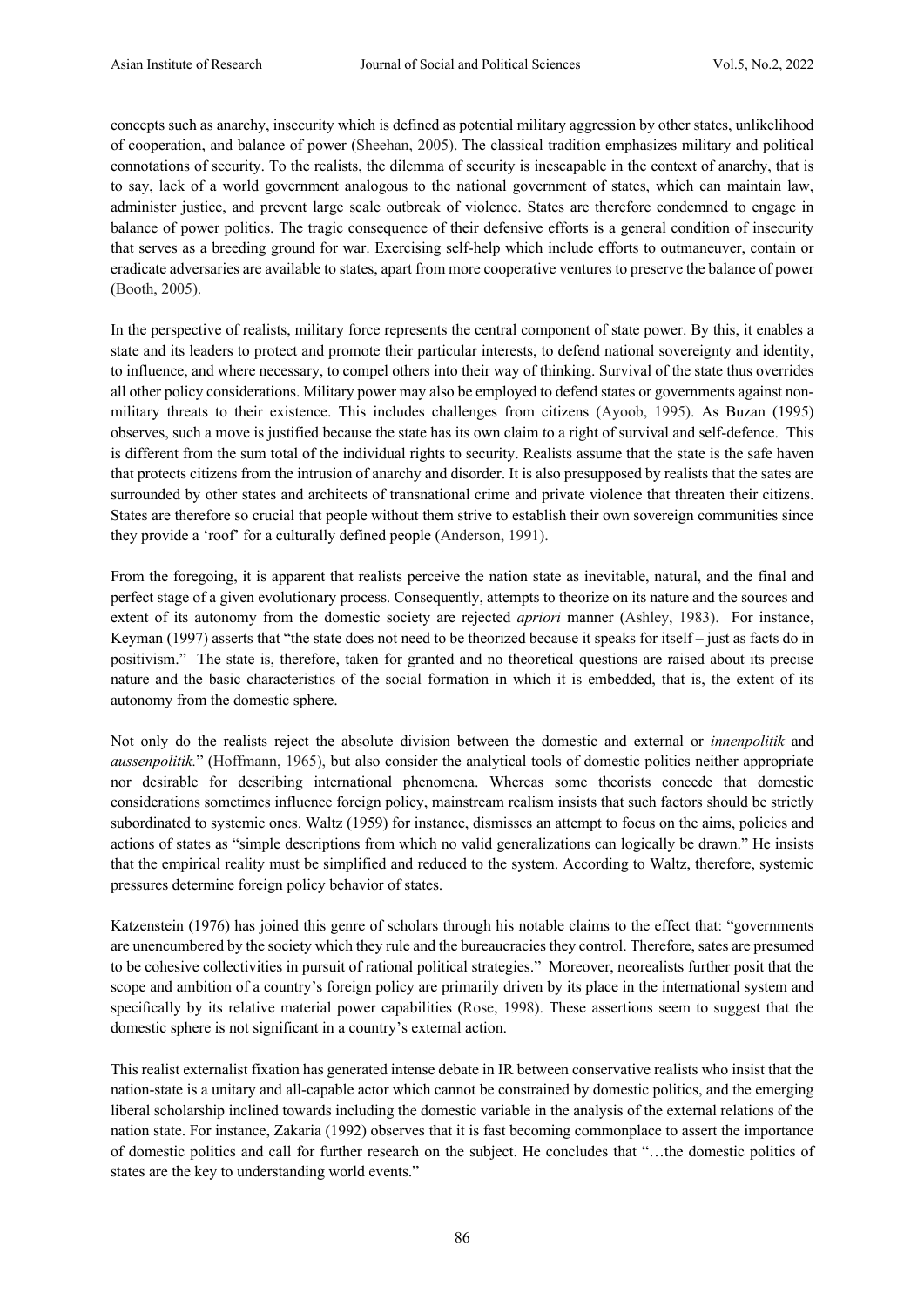concepts such as anarchy, insecurity which is defined as potential military aggression by other states, unlikelihood of cooperation, and balance of power (Sheehan, 2005). The classical tradition emphasizes military and political connotations of security. To the realists, the dilemma of security is inescapable in the context of anarchy, that is to say, lack of a world government analogous to the national government of states, which can maintain law, administer justice, and prevent large scale outbreak of violence. States are therefore condemned to engage in balance of power politics. The tragic consequence of their defensive efforts is a general condition of insecurity that serves as a breeding ground for war. Exercising self-help which include efforts to outmaneuver, contain or eradicate adversaries are available to states, apart from more cooperative ventures to preserve the balance of power (Booth, 2005).

In the perspective of realists, military force represents the central component of state power. By this, it enables a state and its leaders to protect and promote their particular interests, to defend national sovereignty and identity, to influence, and where necessary, to compel others into their way of thinking. Survival of the state thus overrides all other policy considerations. Military power may also be employed to defend states or governments against nonmilitary threats to their existence. This includes challenges from citizens (Ayoob, 1995). As Buzan (1995) observes, such a move is justified because the state has its own claim to a right of survival and self-defence. This is different from the sum total of the individual rights to security. Realists assume that the state is the safe haven that protects citizens from the intrusion of anarchy and disorder. It is also presupposed by realists that the sates are surrounded by other states and architects of transnational crime and private violence that threaten their citizens. States are therefore so crucial that people without them strive to establish their own sovereign communities since they provide a 'roof' for a culturally defined people (Anderson, 1991).

From the foregoing, it is apparent that realists perceive the nation state as inevitable, natural, and the final and perfect stage of a given evolutionary process. Consequently, attempts to theorize on its nature and the sources and extent of its autonomy from the domestic society are rejected *apriori* manner (Ashley, 1983). For instance, Keyman (1997) asserts that "the state does not need to be theorized because it speaks for itself – just as facts do in positivism." The state is, therefore, taken for granted and no theoretical questions are raised about its precise nature and the basic characteristics of the social formation in which it is embedded, that is, the extent of its autonomy from the domestic sphere.

Not only do the realists reject the absolute division between the domestic and external or *innenpolitik* and *aussenpolitik.*" (Hoffmann, 1965), but also consider the analytical tools of domestic politics neither appropriate nor desirable for describing international phenomena. Whereas some theorists concede that domestic considerations sometimes influence foreign policy, mainstream realism insists that such factors should be strictly subordinated to systemic ones. Waltz (1959) for instance, dismisses an attempt to focus on the aims, policies and actions of states as "simple descriptions from which no valid generalizations can logically be drawn." He insists that the empirical reality must be simplified and reduced to the system. According to Waltz, therefore, systemic pressures determine foreign policy behavior of states.

Katzenstein (1976) has joined this genre of scholars through his notable claims to the effect that: "governments are unencumbered by the society which they rule and the bureaucracies they control. Therefore, sates are presumed to be cohesive collectivities in pursuit of rational political strategies." Moreover, neorealists further posit that the scope and ambition of a country's foreign policy are primarily driven by its place in the international system and specifically by its relative material power capabilities (Rose, 1998). These assertions seem to suggest that the domestic sphere is not significant in a country's external action.

This realist externalist fixation has generated intense debate in IR between conservative realists who insist that the nation-state is a unitary and all-capable actor which cannot be constrained by domestic politics, and the emerging liberal scholarship inclined towards including the domestic variable in the analysis of the external relations of the nation state. For instance, Zakaria (1992) observes that it is fast becoming commonplace to assert the importance of domestic politics and call for further research on the subject. He concludes that "…the domestic politics of states are the key to understanding world events."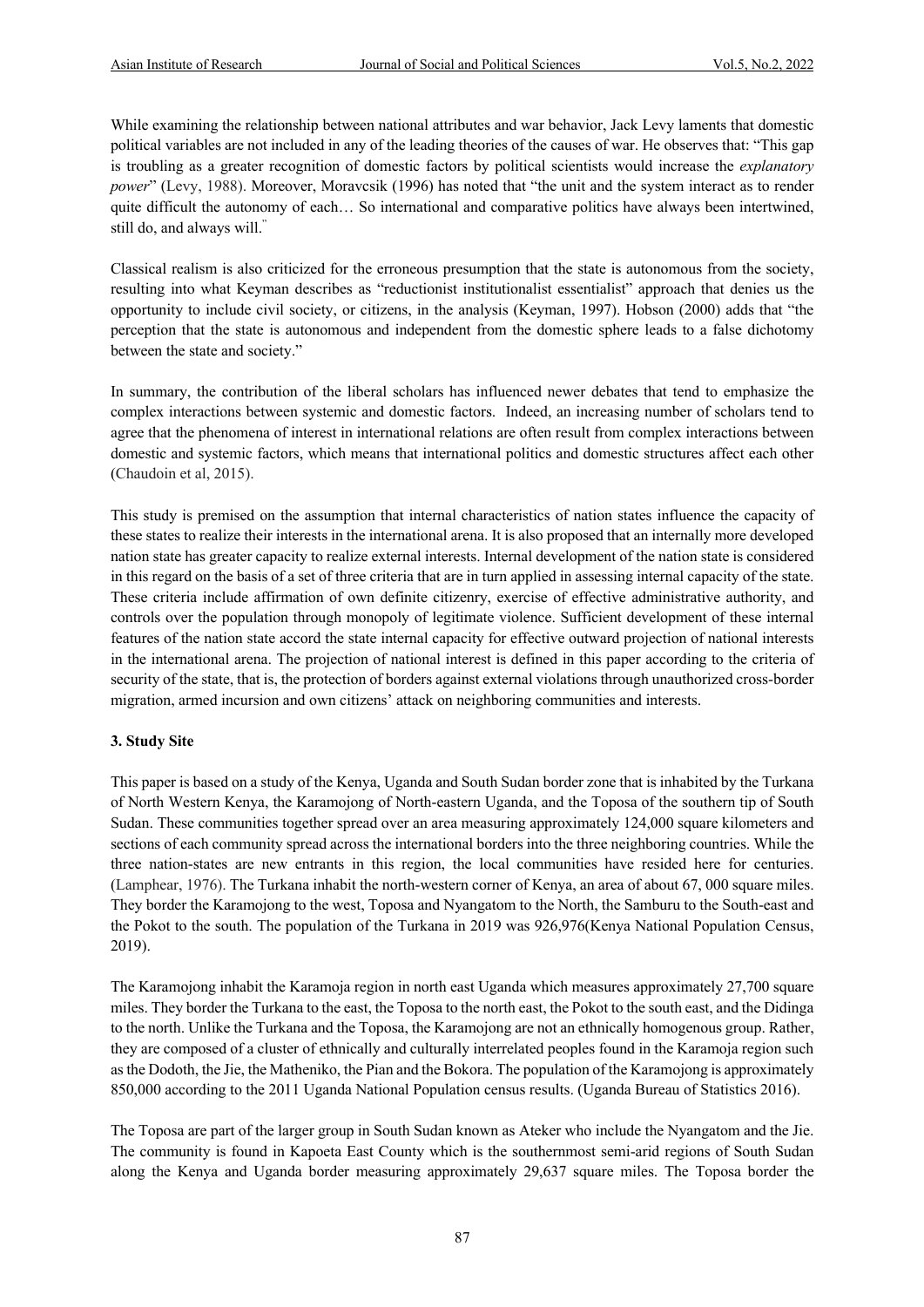While examining the relationship between national attributes and war behavior, Jack Levy laments that domestic political variables are not included in any of the leading theories of the causes of war. He observes that: "This gap is troubling as a greater recognition of domestic factors by political scientists would increase the *explanatory power*" (Levy, 1988). Moreover, Moravcsik (1996) has noted that "the unit and the system interact as to render quite difficult the autonomy of each... So international and comparative politics have always been intertwined, still do, and always will."

Classical realism is also criticized for the erroneous presumption that the state is autonomous from the society, resulting into what Keyman describes as "reductionist institutionalist essentialist" approach that denies us the opportunity to include civil society, or citizens, in the analysis (Keyman, 1997). Hobson (2000) adds that "the perception that the state is autonomous and independent from the domestic sphere leads to a false dichotomy between the state and society."

In summary, the contribution of the liberal scholars has influenced newer debates that tend to emphasize the complex interactions between systemic and domestic factors. Indeed, an increasing number of scholars tend to agree that the phenomena of interest in international relations are often result from complex interactions between domestic and systemic factors, which means that international politics and domestic structures affect each other (Chaudoin et al, 2015).

This study is premised on the assumption that internal characteristics of nation states influence the capacity of these states to realize their interests in the international arena. It is also proposed that an internally more developed nation state has greater capacity to realize external interests. Internal development of the nation state is considered in this regard on the basis of a set of three criteria that are in turn applied in assessing internal capacity of the state. These criteria include affirmation of own definite citizenry, exercise of effective administrative authority, and controls over the population through monopoly of legitimate violence. Sufficient development of these internal features of the nation state accord the state internal capacity for effective outward projection of national interests in the international arena. The projection of national interest is defined in this paper according to the criteria of security of the state, that is, the protection of borders against external violations through unauthorized cross-border migration, armed incursion and own citizens' attack on neighboring communities and interests.

#### **3. Study Site**

This paper is based on a study of the Kenya, Uganda and South Sudan border zone that is inhabited by the Turkana of North Western Kenya, the Karamojong of North-eastern Uganda, and the Toposa of the southern tip of South Sudan. These communities together spread over an area measuring approximately 124,000 square kilometers and sections of each community spread across the international borders into the three neighboring countries. While the three nation-states are new entrants in this region, the local communities have resided here for centuries. (Lamphear, 1976). The Turkana inhabit the north-western corner of Kenya, an area of about 67, 000 square miles. They border the Karamojong to the west, Toposa and Nyangatom to the North, the Samburu to the South-east and the Pokot to the south. The population of the Turkana in 2019 was 926,976(Kenya National Population Census, 2019).

The Karamojong inhabit the Karamoja region in north east Uganda which measures approximately 27,700 square miles. They border the Turkana to the east, the Toposa to the north east, the Pokot to the south east, and the Didinga to the north. Unlike the Turkana and the Toposa, the Karamojong are not an ethnically homogenous group. Rather, they are composed of a cluster of ethnically and culturally interrelated peoples found in the Karamoja region such as the Dodoth, the Jie, the Matheniko, the Pian and the Bokora. The population of the Karamojong is approximately 850,000 according to the 2011 Uganda National Population census results. (Uganda Bureau of Statistics 2016).

The Toposa are part of the larger group in South Sudan known as Ateker who include the Nyangatom and the Jie. The community is found in Kapoeta East County which is the southernmost semi-arid regions of South Sudan along the Kenya and Uganda border measuring approximately 29,637 square miles. The Toposa border the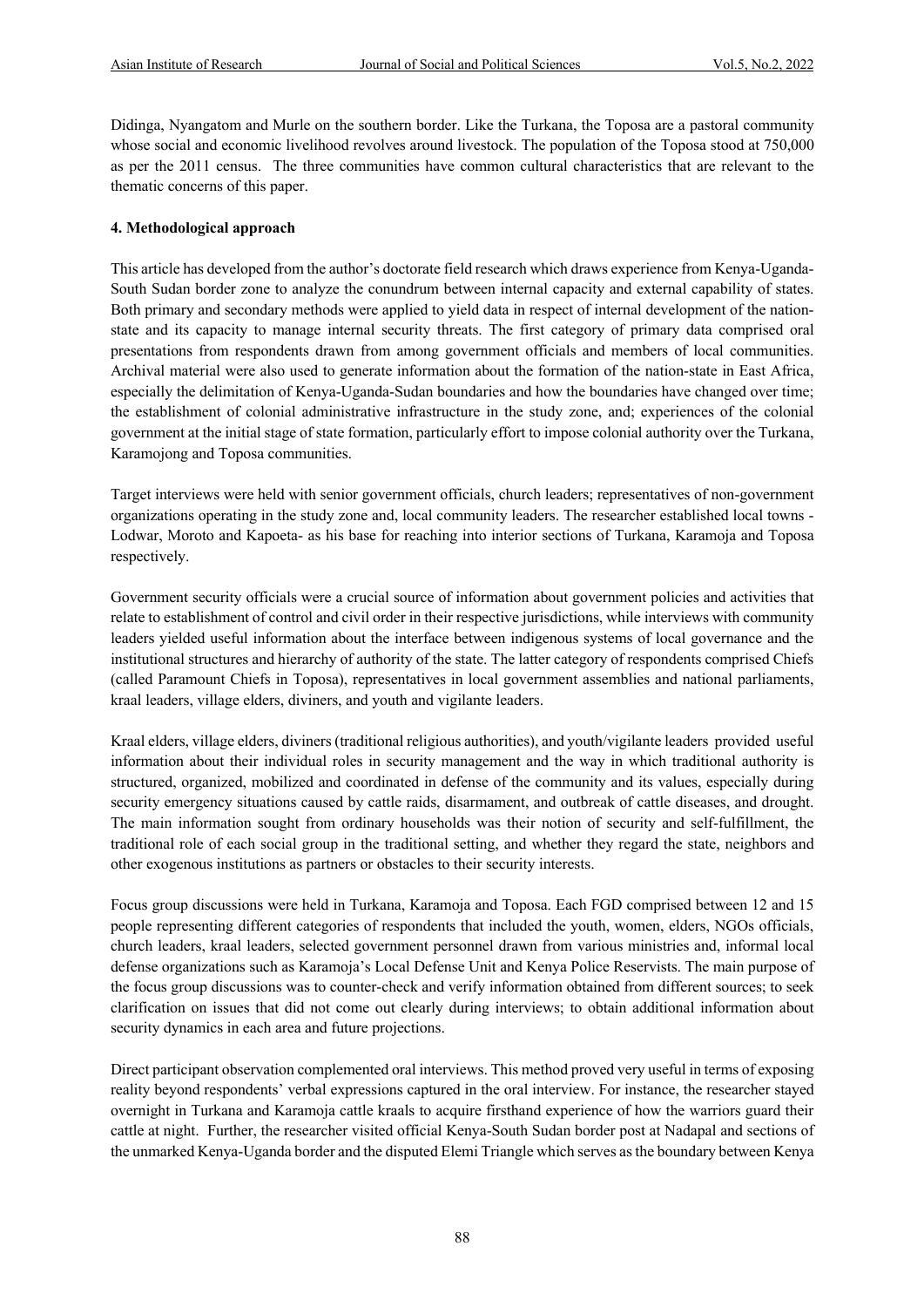Didinga, Nyangatom and Murle on the southern border. Like the Turkana, the Toposa are a pastoral community whose social and economic livelihood revolves around livestock. The population of the Toposa stood at 750,000 as per the 2011 census. The three communities have common cultural characteristics that are relevant to the thematic concerns of this paper.

#### **4. Methodological approach**

This article has developed from the author's doctorate field research which draws experience from Kenya-Uganda-South Sudan border zone to analyze the conundrum between internal capacity and external capability of states. Both primary and secondary methods were applied to yield data in respect of internal development of the nationstate and its capacity to manage internal security threats. The first category of primary data comprised oral presentations from respondents drawn from among government officials and members of local communities. Archival material were also used to generate information about the formation of the nation-state in East Africa, especially the delimitation of Kenya-Uganda-Sudan boundaries and how the boundaries have changed over time; the establishment of colonial administrative infrastructure in the study zone, and; experiences of the colonial government at the initial stage of state formation, particularly effort to impose colonial authority over the Turkana, Karamojong and Toposa communities.

Target interviews were held with senior government officials, church leaders; representatives of non-government organizations operating in the study zone and, local community leaders. The researcher established local towns - Lodwar, Moroto and Kapoeta- as his base for reaching into interior sections of Turkana, Karamoja and Toposa respectively.

Government security officials were a crucial source of information about government policies and activities that relate to establishment of control and civil order in their respective jurisdictions, while interviews with community leaders yielded useful information about the interface between indigenous systems of local governance and the institutional structures and hierarchy of authority of the state. The latter category of respondents comprised Chiefs (called Paramount Chiefs in Toposa), representatives in local government assemblies and national parliaments, kraal leaders, village elders, diviners, and youth and vigilante leaders.

Kraal elders, village elders, diviners (traditional religious authorities), and youth/vigilante leaders provided useful information about their individual roles in security management and the way in which traditional authority is structured, organized, mobilized and coordinated in defense of the community and its values, especially during security emergency situations caused by cattle raids, disarmament, and outbreak of cattle diseases, and drought. The main information sought from ordinary households was their notion of security and self-fulfillment, the traditional role of each social group in the traditional setting, and whether they regard the state, neighbors and other exogenous institutions as partners or obstacles to their security interests.

Focus group discussions were held in Turkana, Karamoja and Toposa. Each FGD comprised between 12 and 15 people representing different categories of respondents that included the youth, women, elders, NGOs officials, church leaders, kraal leaders, selected government personnel drawn from various ministries and, informal local defense organizations such as Karamoja's Local Defense Unit and Kenya Police Reservists. The main purpose of the focus group discussions was to counter-check and verify information obtained from different sources; to seek clarification on issues that did not come out clearly during interviews; to obtain additional information about security dynamics in each area and future projections.

Direct participant observation complemented oral interviews. This method proved very useful in terms of exposing reality beyond respondents' verbal expressions captured in the oral interview. For instance, the researcher stayed overnight in Turkana and Karamoja cattle kraals to acquire firsthand experience of how the warriors guard their cattle at night. Further, the researcher visited official Kenya-South Sudan border post at Nadapal and sections of the unmarked Kenya-Uganda border and the disputed Elemi Triangle which serves as the boundary between Kenya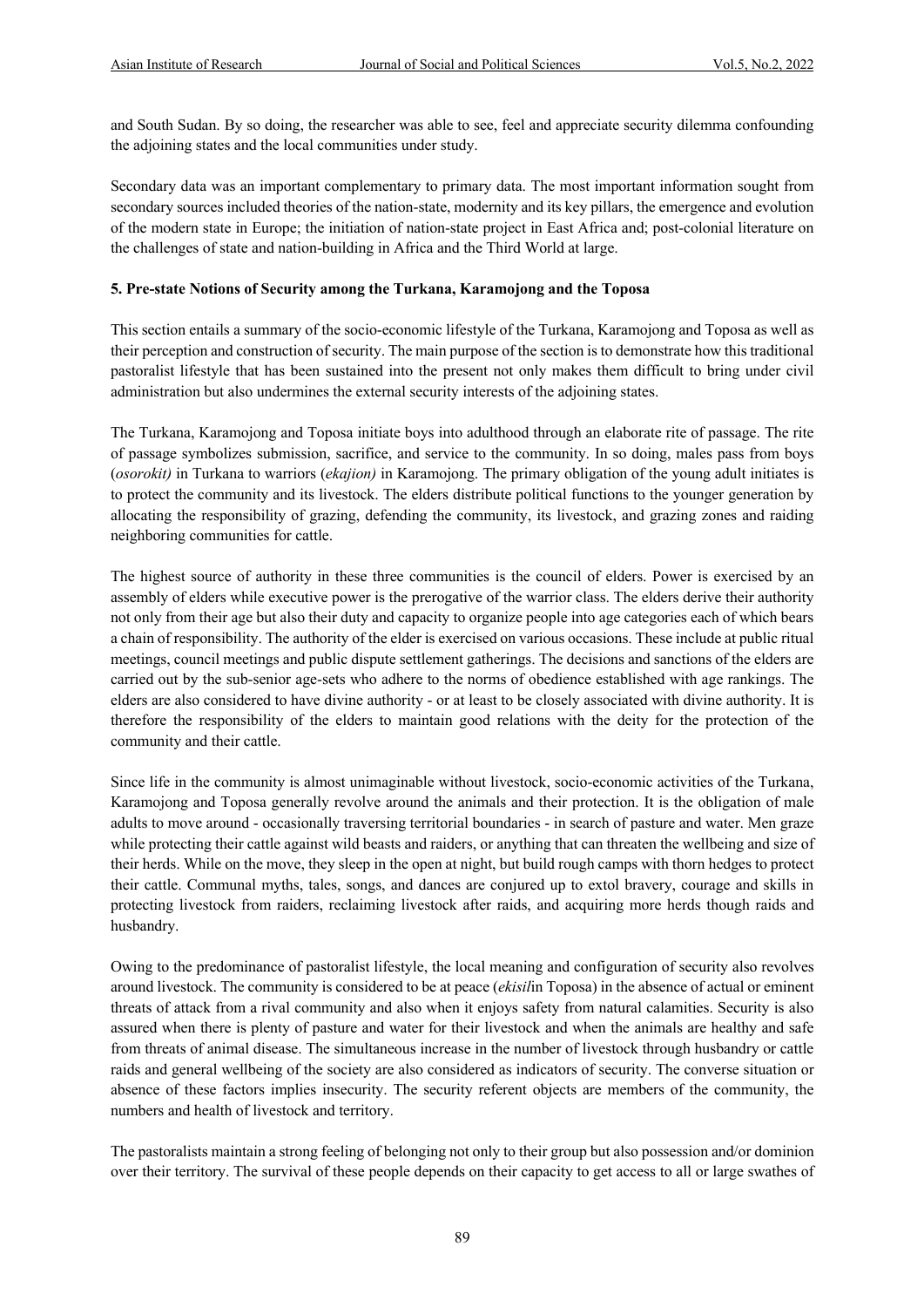and South Sudan. By so doing, the researcher was able to see, feel and appreciate security dilemma confounding the adjoining states and the local communities under study.

Secondary data was an important complementary to primary data. The most important information sought from secondary sources included theories of the nation-state, modernity and its key pillars, the emergence and evolution of the modern state in Europe; the initiation of nation-state project in East Africa and; post-colonial literature on the challenges of state and nation-building in Africa and the Third World at large.

#### **5. Pre-state Notions of Security among the Turkana, Karamojong and the Toposa**

This section entails a summary of the socio-economic lifestyle of the Turkana, Karamojong and Toposa as well as their perception and construction of security. The main purpose of the section is to demonstrate how this traditional pastoralist lifestyle that has been sustained into the present not only makes them difficult to bring under civil administration but also undermines the external security interests of the adjoining states.

The Turkana, Karamojong and Toposa initiate boys into adulthood through an elaborate rite of passage. The rite of passage symbolizes submission, sacrifice, and service to the community. In so doing, males pass from boys (*osorokit)* in Turkana to warriors (*ekajion)* in Karamojong. The primary obligation of the young adult initiates is to protect the community and its livestock. The elders distribute political functions to the younger generation by allocating the responsibility of grazing, defending the community, its livestock, and grazing zones and raiding neighboring communities for cattle.

The highest source of authority in these three communities is the council of elders. Power is exercised by an assembly of elders while executive power is the prerogative of the warrior class. The elders derive their authority not only from their age but also their duty and capacity to organize people into age categories each of which bears a chain of responsibility. The authority of the elder is exercised on various occasions. These include at public ritual meetings, council meetings and public dispute settlement gatherings. The decisions and sanctions of the elders are carried out by the sub-senior age-sets who adhere to the norms of obedience established with age rankings. The elders are also considered to have divine authority - or at least to be closely associated with divine authority. It is therefore the responsibility of the elders to maintain good relations with the deity for the protection of the community and their cattle.

Since life in the community is almost unimaginable without livestock, socio-economic activities of the Turkana, Karamojong and Toposa generally revolve around the animals and their protection. It is the obligation of male adults to move around - occasionally traversing territorial boundaries - in search of pasture and water. Men graze while protecting their cattle against wild beasts and raiders, or anything that can threaten the wellbeing and size of their herds. While on the move, they sleep in the open at night, but build rough camps with thorn hedges to protect their cattle. Communal myths, tales, songs, and dances are conjured up to extol bravery, courage and skills in protecting livestock from raiders, reclaiming livestock after raids, and acquiring more herds though raids and husbandry.

Owing to the predominance of pastoralist lifestyle, the local meaning and configuration of security also revolves around livestock. The community is considered to be at peace (*ekisil*in Toposa) in the absence of actual or eminent threats of attack from a rival community and also when it enjoys safety from natural calamities. Security is also assured when there is plenty of pasture and water for their livestock and when the animals are healthy and safe from threats of animal disease. The simultaneous increase in the number of livestock through husbandry or cattle raids and general wellbeing of the society are also considered as indicators of security. The converse situation or absence of these factors implies insecurity. The security referent objects are members of the community, the numbers and health of livestock and territory.

The pastoralists maintain a strong feeling of belonging not only to their group but also possession and/or dominion over their territory. The survival of these people depends on their capacity to get access to all or large swathes of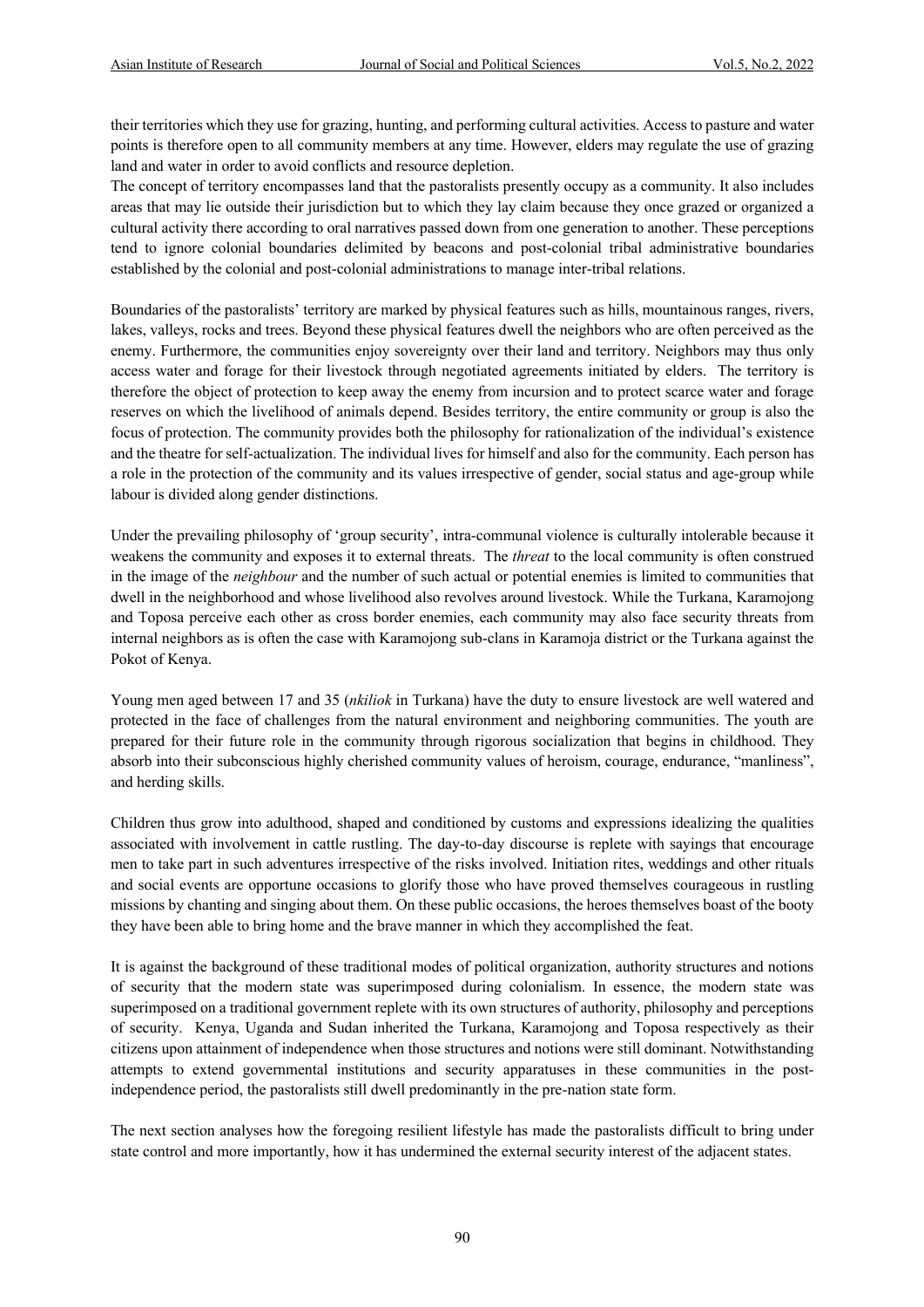their territories which they use for grazing, hunting, and performing cultural activities. Access to pasture and water points is therefore open to all community members at any time. However, elders may regulate the use of grazing land and water in order to avoid conflicts and resource depletion.

The concept of territory encompasses land that the pastoralists presently occupy as a community. It also includes areas that may lie outside their jurisdiction but to which they lay claim because they once grazed or organized a cultural activity there according to oral narratives passed down from one generation to another. These perceptions tend to ignore colonial boundaries delimited by beacons and post-colonial tribal administrative boundaries established by the colonial and post-colonial administrations to manage inter-tribal relations.

Boundaries of the pastoralists' territory are marked by physical features such as hills, mountainous ranges, rivers, lakes, valleys, rocks and trees. Beyond these physical features dwell the neighbors who are often perceived as the enemy. Furthermore, the communities enjoy sovereignty over their land and territory. Neighbors may thus only access water and forage for their livestock through negotiated agreements initiated by elders. The territory is therefore the object of protection to keep away the enemy from incursion and to protect scarce water and forage reserves on which the livelihood of animals depend. Besides territory, the entire community or group is also the focus of protection. The community provides both the philosophy for rationalization of the individual's existence and the theatre for self-actualization. The individual lives for himself and also for the community. Each person has a role in the protection of the community and its values irrespective of gender, social status and age-group while labour is divided along gender distinctions.

Under the prevailing philosophy of 'group security', intra-communal violence is culturally intolerable because it weakens the community and exposes it to external threats. The *threat* to the local community is often construed in the image of the *neighbour* and the number of such actual or potential enemies is limited to communities that dwell in the neighborhood and whose livelihood also revolves around livestock. While the Turkana, Karamojong and Toposa perceive each other as cross border enemies, each community may also face security threats from internal neighbors as is often the case with Karamojong sub-clans in Karamoja district or the Turkana against the Pokot of Kenya.

Young men aged between 17 and 35 (*nkiliok* in Turkana) have the duty to ensure livestock are well watered and protected in the face of challenges from the natural environment and neighboring communities. The youth are prepared for their future role in the community through rigorous socialization that begins in childhood. They absorb into their subconscious highly cherished community values of heroism, courage, endurance, "manliness", and herding skills.

Children thus grow into adulthood, shaped and conditioned by customs and expressions idealizing the qualities associated with involvement in cattle rustling. The day-to-day discourse is replete with sayings that encourage men to take part in such adventures irrespective of the risks involved. Initiation rites, weddings and other rituals and social events are opportune occasions to glorify those who have proved themselves courageous in rustling missions by chanting and singing about them. On these public occasions, the heroes themselves boast of the booty they have been able to bring home and the brave manner in which they accomplished the feat.

It is against the background of these traditional modes of political organization, authority structures and notions of security that the modern state was superimposed during colonialism. In essence, the modern state was superimposed on a traditional government replete with its own structures of authority, philosophy and perceptions of security. Kenya, Uganda and Sudan inherited the Turkana, Karamojong and Toposa respectively as their citizens upon attainment of independence when those structures and notions were still dominant. Notwithstanding attempts to extend governmental institutions and security apparatuses in these communities in the postindependence period, the pastoralists still dwell predominantly in the pre-nation state form.

The next section analyses how the foregoing resilient lifestyle has made the pastoralists difficult to bring under state control and more importantly, how it has undermined the external security interest of the adjacent states.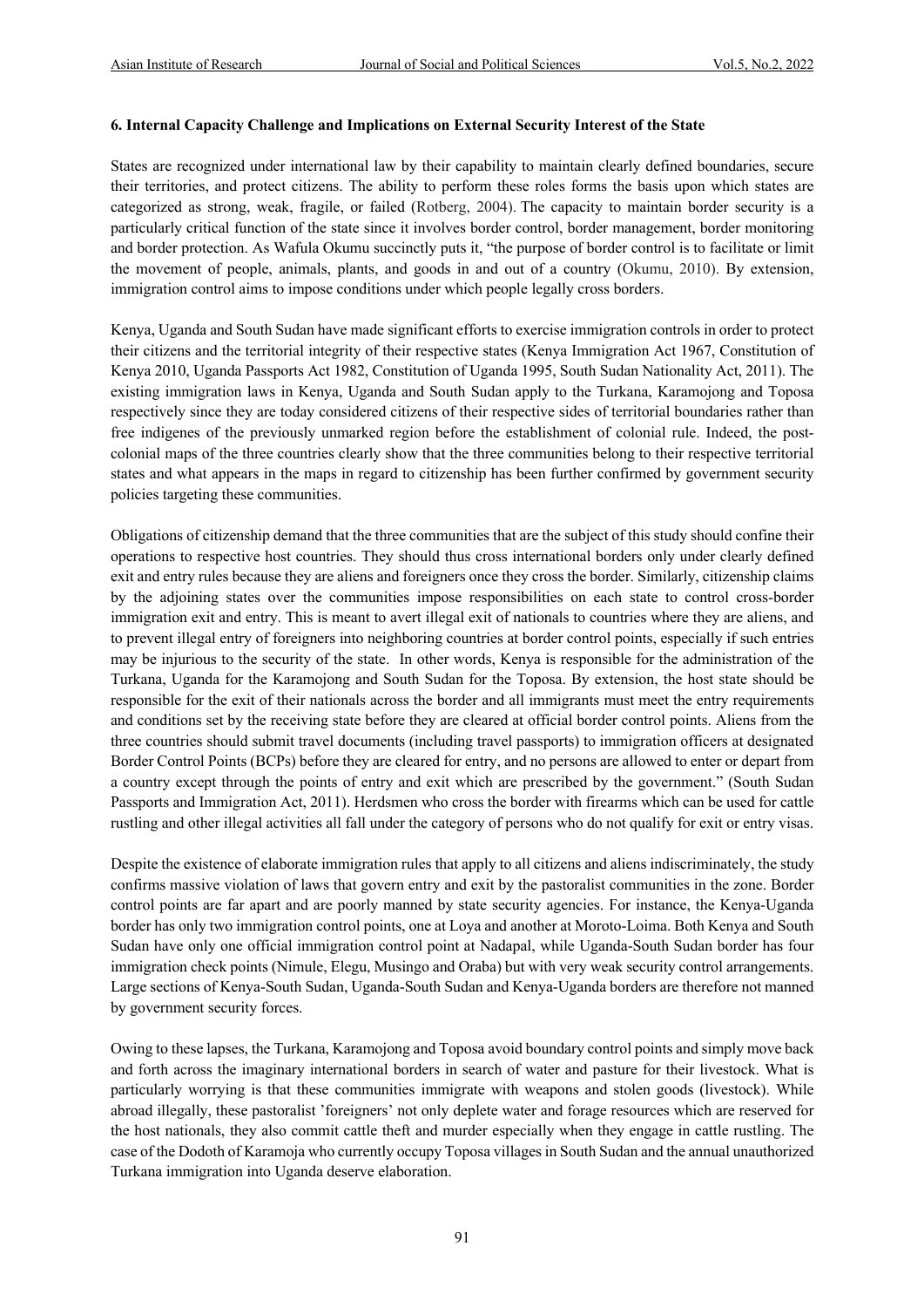#### **6. Internal Capacity Challenge and Implications on External Security Interest of the State**

States are recognized under international law by their capability to maintain clearly defined boundaries, secure their territories, and protect citizens. The ability to perform these roles forms the basis upon which states are categorized as strong, weak, fragile, or failed (Rotberg, 2004). The capacity to maintain border security is a particularly critical function of the state since it involves border control, border management, border monitoring and border protection. As Wafula Okumu succinctly puts it, "the purpose of border control is to facilitate or limit the movement of people, animals, plants, and goods in and out of a country (Okumu, 2010). By extension, immigration control aims to impose conditions under which people legally cross borders.

Kenya, Uganda and South Sudan have made significant efforts to exercise immigration controls in order to protect their citizens and the territorial integrity of their respective states (Kenya Immigration Act 1967, Constitution of Kenya 2010, Uganda Passports Act 1982, Constitution of Uganda 1995, South Sudan Nationality Act, 2011). The existing immigration laws in Kenya, Uganda and South Sudan apply to the Turkana, Karamojong and Toposa respectively since they are today considered citizens of their respective sides of territorial boundaries rather than free indigenes of the previously unmarked region before the establishment of colonial rule. Indeed, the postcolonial maps of the three countries clearly show that the three communities belong to their respective territorial states and what appears in the maps in regard to citizenship has been further confirmed by government security policies targeting these communities.

Obligations of citizenship demand that the three communities that are the subject of this study should confine their operations to respective host countries. They should thus cross international borders only under clearly defined exit and entry rules because they are aliens and foreigners once they cross the border. Similarly, citizenship claims by the adjoining states over the communities impose responsibilities on each state to control cross-border immigration exit and entry. This is meant to avert illegal exit of nationals to countries where they are aliens, and to prevent illegal entry of foreigners into neighboring countries at border control points, especially if such entries may be injurious to the security of the state. In other words, Kenya is responsible for the administration of the Turkana, Uganda for the Karamojong and South Sudan for the Toposa. By extension, the host state should be responsible for the exit of their nationals across the border and all immigrants must meet the entry requirements and conditions set by the receiving state before they are cleared at official border control points. Aliens from the three countries should submit travel documents (including travel passports) to immigration officers at designated Border Control Points (BCPs) before they are cleared for entry, and no persons are allowed to enter or depart from a country except through the points of entry and exit which are prescribed by the government." (South Sudan Passports and Immigration Act, 2011). Herdsmen who cross the border with firearms which can be used for cattle rustling and other illegal activities all fall under the category of persons who do not qualify for exit or entry visas.

Despite the existence of elaborate immigration rules that apply to all citizens and aliens indiscriminately, the study confirms massive violation of laws that govern entry and exit by the pastoralist communities in the zone. Border control points are far apart and are poorly manned by state security agencies. For instance, the Kenya-Uganda border has only two immigration control points, one at Loya and another at Moroto-Loima. Both Kenya and South Sudan have only one official immigration control point at Nadapal, while Uganda-South Sudan border has four immigration check points (Nimule, Elegu, Musingo and Oraba) but with very weak security control arrangements. Large sections of Kenya-South Sudan, Uganda-South Sudan and Kenya-Uganda borders are therefore not manned by government security forces.

Owing to these lapses, the Turkana, Karamojong and Toposa avoid boundary control points and simply move back and forth across the imaginary international borders in search of water and pasture for their livestock. What is particularly worrying is that these communities immigrate with weapons and stolen goods (livestock). While abroad illegally, these pastoralist 'foreigners' not only deplete water and forage resources which are reserved for the host nationals, they also commit cattle theft and murder especially when they engage in cattle rustling. The case of the Dodoth of Karamoja who currently occupy Toposa villages in South Sudan and the annual unauthorized Turkana immigration into Uganda deserve elaboration.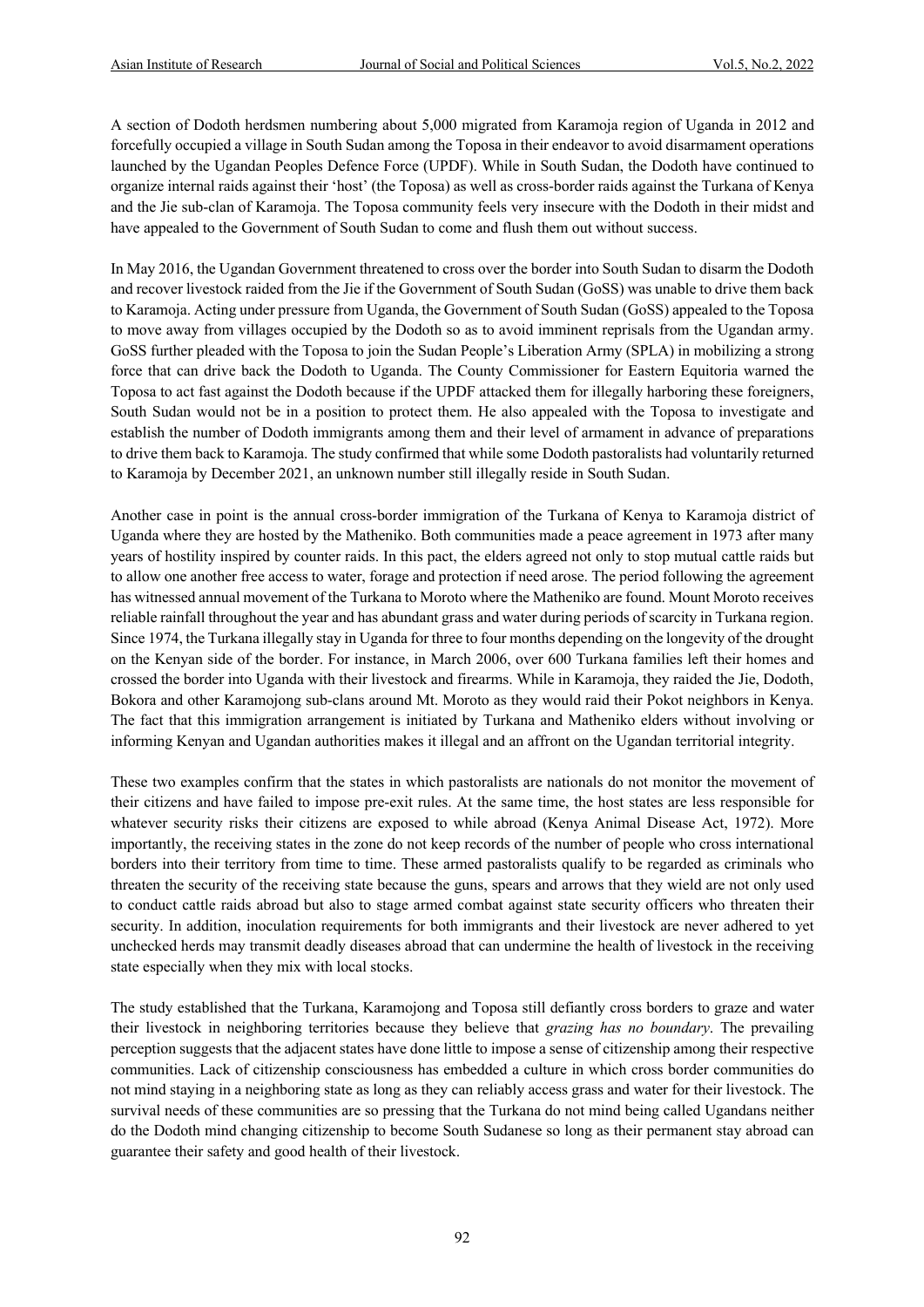A section of Dodoth herdsmen numbering about 5,000 migrated from Karamoja region of Uganda in 2012 and forcefully occupied a village in South Sudan among the Toposa in their endeavor to avoid disarmament operations launched by the Ugandan Peoples Defence Force (UPDF). While in South Sudan, the Dodoth have continued to organize internal raids against their 'host' (the Toposa) as well as cross-border raids against the Turkana of Kenya and the Jie sub-clan of Karamoja. The Toposa community feels very insecure with the Dodoth in their midst and have appealed to the Government of South Sudan to come and flush them out without success.

In May 2016, the Ugandan Government threatened to cross over the border into South Sudan to disarm the Dodoth and recover livestock raided from the Jie if the Government of South Sudan (GoSS) was unable to drive them back to Karamoja. Acting under pressure from Uganda, the Government of South Sudan (GoSS) appealed to the Toposa to move away from villages occupied by the Dodoth so as to avoid imminent reprisals from the Ugandan army. GoSS further pleaded with the Toposa to join the Sudan People's Liberation Army (SPLA) in mobilizing a strong force that can drive back the Dodoth to Uganda. The County Commissioner for Eastern Equitoria warned the Toposa to act fast against the Dodoth because if the UPDF attacked them for illegally harboring these foreigners, South Sudan would not be in a position to protect them. He also appealed with the Toposa to investigate and establish the number of Dodoth immigrants among them and their level of armament in advance of preparations to drive them back to Karamoja. The study confirmed that while some Dodoth pastoralists had voluntarily returned to Karamoja by December 2021, an unknown number still illegally reside in South Sudan.

Another case in point is the annual cross-border immigration of the Turkana of Kenya to Karamoja district of Uganda where they are hosted by the Matheniko. Both communities made a peace agreement in 1973 after many years of hostility inspired by counter raids. In this pact, the elders agreed not only to stop mutual cattle raids but to allow one another free access to water, forage and protection if need arose. The period following the agreement has witnessed annual movement of the Turkana to Moroto where the Matheniko are found. Mount Moroto receives reliable rainfall throughout the year and has abundant grass and water during periods of scarcity in Turkana region. Since 1974, the Turkana illegally stay in Uganda for three to four months depending on the longevity of the drought on the Kenyan side of the border. For instance, in March 2006, over 600 Turkana families left their homes and crossed the border into Uganda with their livestock and firearms. While in Karamoja, they raided the Jie, Dodoth, Bokora and other Karamojong sub-clans around Mt. Moroto as they would raid their Pokot neighbors in Kenya. The fact that this immigration arrangement is initiated by Turkana and Matheniko elders without involving or informing Kenyan and Ugandan authorities makes it illegal and an affront on the Ugandan territorial integrity.

These two examples confirm that the states in which pastoralists are nationals do not monitor the movement of their citizens and have failed to impose pre-exit rules. At the same time, the host states are less responsible for whatever security risks their citizens are exposed to while abroad (Kenya Animal Disease Act, 1972). More importantly, the receiving states in the zone do not keep records of the number of people who cross international borders into their territory from time to time. These armed pastoralists qualify to be regarded as criminals who threaten the security of the receiving state because the guns, spears and arrows that they wield are not only used to conduct cattle raids abroad but also to stage armed combat against state security officers who threaten their security. In addition, inoculation requirements for both immigrants and their livestock are never adhered to yet unchecked herds may transmit deadly diseases abroad that can undermine the health of livestock in the receiving state especially when they mix with local stocks.

The study established that the Turkana, Karamojong and Toposa still defiantly cross borders to graze and water their livestock in neighboring territories because they believe that *grazing has no boundary*. The prevailing perception suggests that the adjacent states have done little to impose a sense of citizenship among their respective communities. Lack of citizenship consciousness has embedded a culture in which cross border communities do not mind staying in a neighboring state as long as they can reliably access grass and water for their livestock. The survival needs of these communities are so pressing that the Turkana do not mind being called Ugandans neither do the Dodoth mind changing citizenship to become South Sudanese so long as their permanent stay abroad can guarantee their safety and good health of their livestock.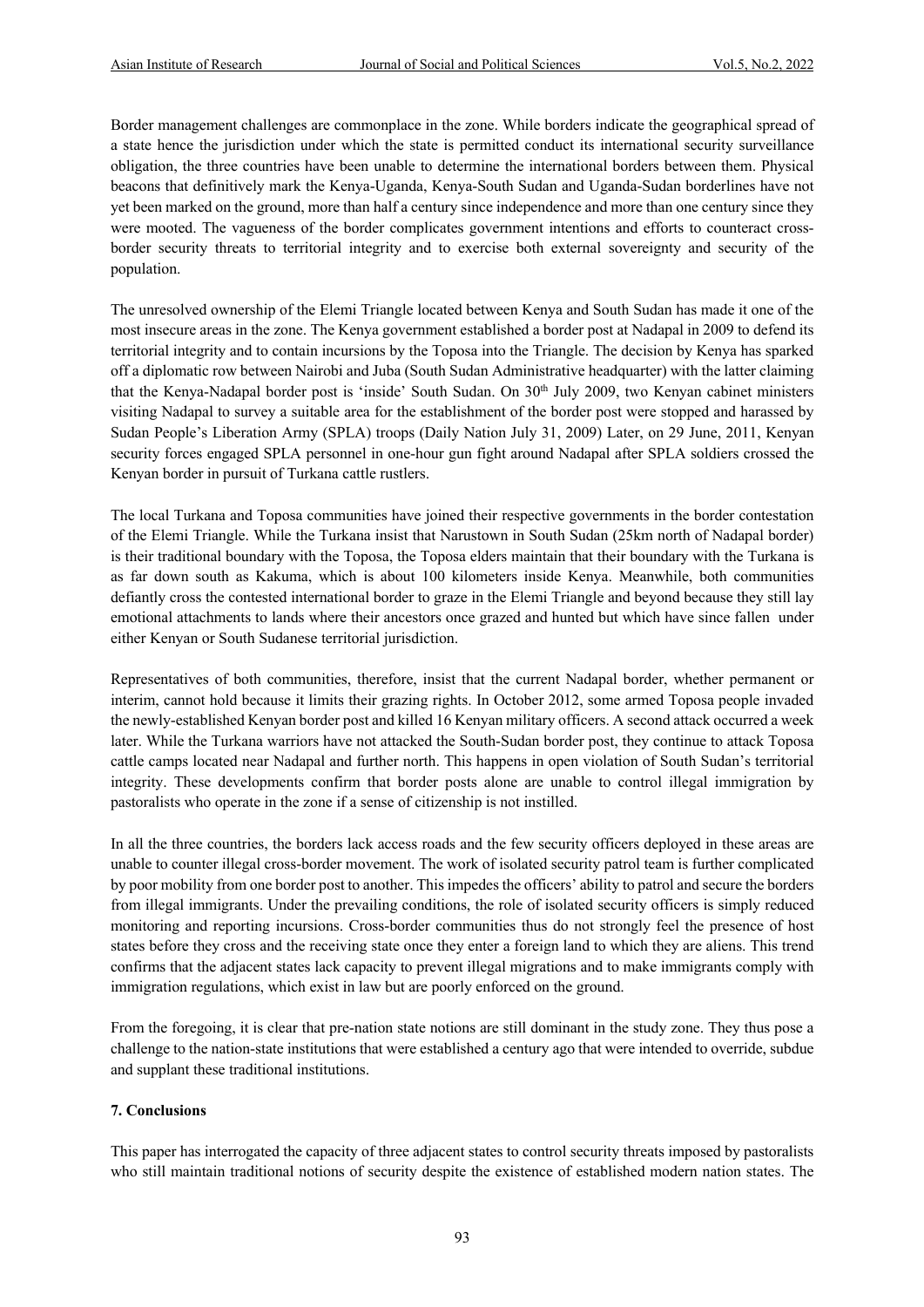Border management challenges are commonplace in the zone. While borders indicate the geographical spread of a state hence the jurisdiction under which the state is permitted conduct its international security surveillance obligation, the three countries have been unable to determine the international borders between them. Physical beacons that definitively mark the Kenya-Uganda, Kenya-South Sudan and Uganda-Sudan borderlines have not yet been marked on the ground, more than half a century since independence and more than one century since they were mooted. The vagueness of the border complicates government intentions and efforts to counteract crossborder security threats to territorial integrity and to exercise both external sovereignty and security of the population.

The unresolved ownership of the Elemi Triangle located between Kenya and South Sudan has made it one of the most insecure areas in the zone. The Kenya government established a border post at Nadapal in 2009 to defend its territorial integrity and to contain incursions by the Toposa into the Triangle. The decision by Kenya has sparked off a diplomatic row between Nairobi and Juba (South Sudan Administrative headquarter) with the latter claiming that the Kenya-Nadapal border post is 'inside' South Sudan. On 30<sup>th</sup> July 2009, two Kenyan cabinet ministers visiting Nadapal to survey a suitable area for the establishment of the border post were stopped and harassed by Sudan People's Liberation Army (SPLA) troops (Daily Nation July 31, 2009) Later, on 29 June, 2011, Kenyan security forces engaged SPLA personnel in one-hour gun fight around Nadapal after SPLA soldiers crossed the Kenyan border in pursuit of Turkana cattle rustlers.

The local Turkana and Toposa communities have joined their respective governments in the border contestation of the Elemi Triangle. While the Turkana insist that Narustown in South Sudan (25km north of Nadapal border) is their traditional boundary with the Toposa, the Toposa elders maintain that their boundary with the Turkana is as far down south as Kakuma, which is about 100 kilometers inside Kenya. Meanwhile, both communities defiantly cross the contested international border to graze in the Elemi Triangle and beyond because they still lay emotional attachments to lands where their ancestors once grazed and hunted but which have since fallen under either Kenyan or South Sudanese territorial jurisdiction.

Representatives of both communities, therefore, insist that the current Nadapal border, whether permanent or interim, cannot hold because it limits their grazing rights. In October 2012, some armed Toposa people invaded the newly-established Kenyan border post and killed 16 Kenyan military officers. A second attack occurred a week later. While the Turkana warriors have not attacked the South-Sudan border post, they continue to attack Toposa cattle camps located near Nadapal and further north. This happens in open violation of South Sudan's territorial integrity. These developments confirm that border posts alone are unable to control illegal immigration by pastoralists who operate in the zone if a sense of citizenship is not instilled.

In all the three countries, the borders lack access roads and the few security officers deployed in these areas are unable to counter illegal cross-border movement. The work of isolated security patrol team is further complicated by poor mobility from one border post to another. This impedes the officers' ability to patrol and secure the borders from illegal immigrants. Under the prevailing conditions, the role of isolated security officers is simply reduced monitoring and reporting incursions. Cross-border communities thus do not strongly feel the presence of host states before they cross and the receiving state once they enter a foreign land to which they are aliens. This trend confirms that the adjacent states lack capacity to prevent illegal migrations and to make immigrants comply with immigration regulations, which exist in law but are poorly enforced on the ground.

From the foregoing, it is clear that pre-nation state notions are still dominant in the study zone. They thus pose a challenge to the nation-state institutions that were established a century ago that were intended to override, subdue and supplant these traditional institutions.

#### **7. Conclusions**

This paper has interrogated the capacity of three adjacent states to control security threats imposed by pastoralists who still maintain traditional notions of security despite the existence of established modern nation states. The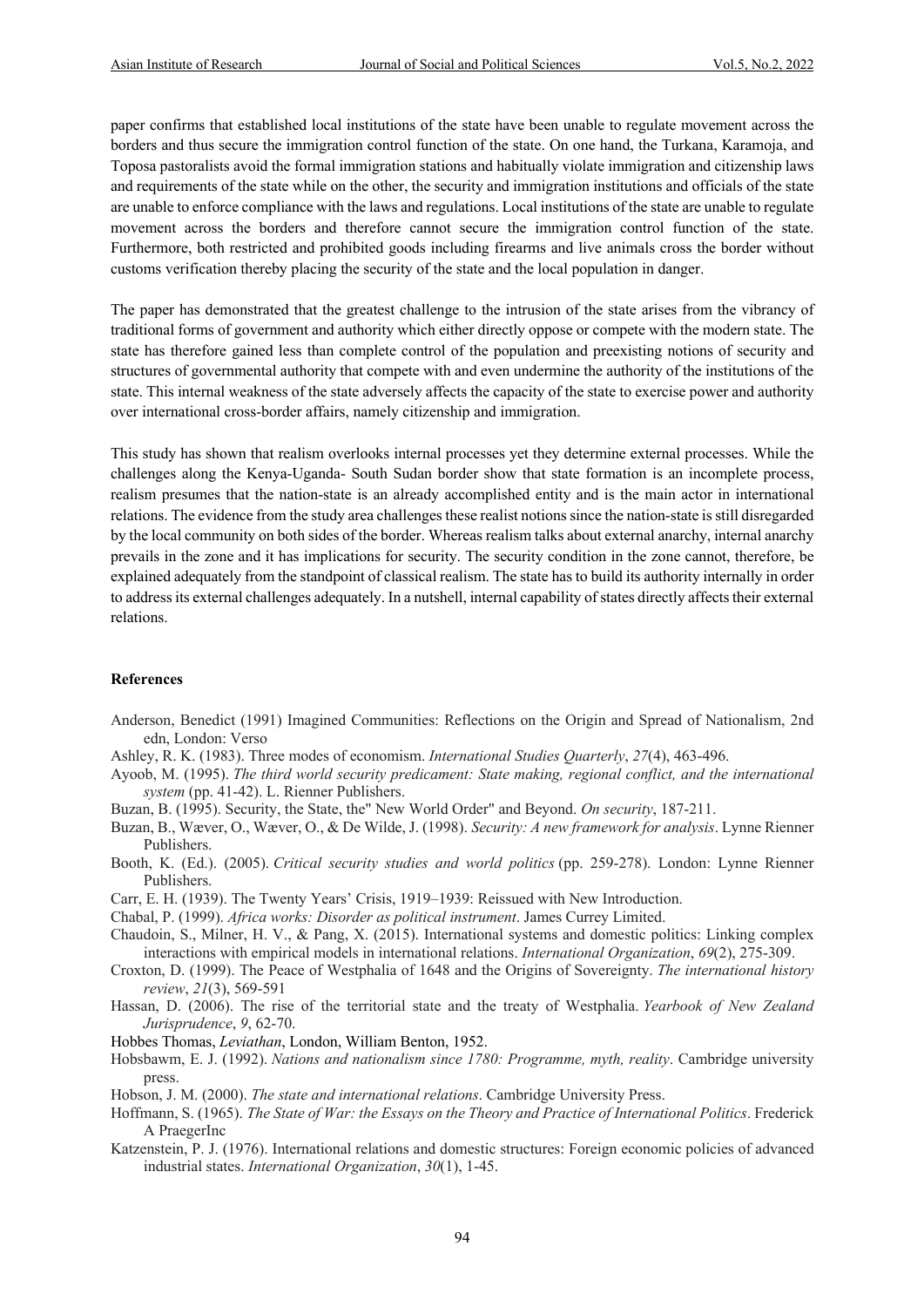paper confirms that established local institutions of the state have been unable to regulate movement across the borders and thus secure the immigration control function of the state. On one hand, the Turkana, Karamoja, and Toposa pastoralists avoid the formal immigration stations and habitually violate immigration and citizenship laws and requirements of the state while on the other, the security and immigration institutions and officials of the state are unable to enforce compliance with the laws and regulations. Local institutions of the state are unable to regulate movement across the borders and therefore cannot secure the immigration control function of the state. Furthermore, both restricted and prohibited goods including firearms and live animals cross the border without customs verification thereby placing the security of the state and the local population in danger.

The paper has demonstrated that the greatest challenge to the intrusion of the state arises from the vibrancy of traditional forms of government and authority which either directly oppose or compete with the modern state. The state has therefore gained less than complete control of the population and preexisting notions of security and structures of governmental authority that compete with and even undermine the authority of the institutions of the state. This internal weakness of the state adversely affects the capacity of the state to exercise power and authority over international cross-border affairs, namely citizenship and immigration.

This study has shown that realism overlooks internal processes yet they determine external processes. While the challenges along the Kenya-Uganda- South Sudan border show that state formation is an incomplete process, realism presumes that the nation-state is an already accomplished entity and is the main actor in international relations. The evidence from the study area challenges these realist notions since the nation-state is still disregarded by the local community on both sides of the border. Whereas realism talks about external anarchy, internal anarchy prevails in the zone and it has implications for security. The security condition in the zone cannot, therefore, be explained adequately from the standpoint of classical realism. The state has to build its authority internally in order to address its external challenges adequately. In a nutshell, internal capability of states directly affects their external relations.

#### **References**

- Anderson, Benedict (1991) Imagined Communities: Reflections on the Origin and Spread of Nationalism, 2nd edn, London: Verso
- Ashley, R. K. (1983). Three modes of economism. *International Studies Quarterly*, *27*(4), 463-496.
- Ayoob, M. (1995). *The third world security predicament: State making, regional conflict, and the international system* (pp. 41-42). L. Rienner Publishers.
- Buzan, B. (1995). Security, the State, the" New World Order" and Beyond. *On security*, 187-211.
- Buzan, B., Wæver, O., Wæver, O., & De Wilde, J. (1998). *Security: A new framework for analysis*. Lynne Rienner Publishers.
- Booth, K. (Ed.). (2005). *Critical security studies and world politics* (pp. 259-278). London: Lynne Rienner Publishers.
- Carr, E. H. (1939). The Twenty Years' Crisis, 1919–1939: Reissued with New Introduction.
- Chabal, P. (1999). *Africa works: Disorder as political instrument*. James Currey Limited.
- Chaudoin, S., Milner, H. V., & Pang, X. (2015). International systems and domestic politics: Linking complex interactions with empirical models in international relations. *International Organization*, *69*(2), 275-309.
- Croxton, D. (1999). The Peace of Westphalia of 1648 and the Origins of Sovereignty. *The international history review*, *21*(3), 569-591
- Hassan, D. (2006). The rise of the territorial state and the treaty of Westphalia. *Yearbook of New Zealand Jurisprudence*, *9*, 62-70.
- Hobbes Thomas, *Leviathan*, London, William Benton, 1952.
- Hobsbawm, E. J. (1992). *Nations and nationalism since 1780: Programme, myth, reality*. Cambridge university press.
- Hobson, J. M. (2000). *The state and international relations*. Cambridge University Press.
- Hoffmann, S. (1965). *The State of War: the Essays on the Theory and Practice of International Politics*. Frederick A PraegerInc
- Katzenstein, P. J. (1976). International relations and domestic structures: Foreign economic policies of advanced industrial states. *International Organization*, *30*(1), 1-45.